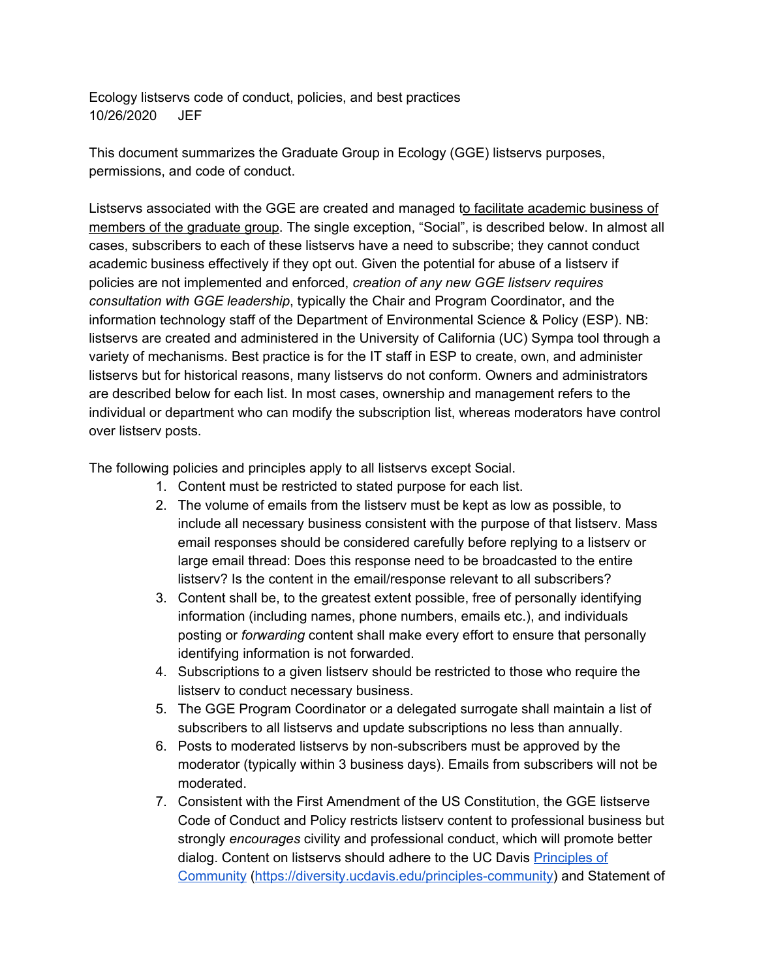Ecology listservs code of conduct, policies, and best practices 10/26/2020 JEF

This document summarizes the Graduate Group in Ecology (GGE) listservs purposes, permissions, and code of conduct.

Listservs associated with the GGE are created and managed to facilitate academic business of members of the graduate group. The single exception, "Social", is described below. In almost all cases, subscribers to each of these listservs have a need to subscribe; they cannot conduct academic business effectively if they opt out. Given the potential for abuse of a listserv if policies are not implemented and enforced, *creation of any new GGE listserv requires consultation with GGE leadership*, typically the Chair and Program Coordinator, and the information technology staff of the Department of Environmental Science & Policy (ESP). NB: listservs are created and administered in the University of California (UC) Sympa tool through a variety of mechanisms. Best practice is for the IT staff in ESP to create, own, and administer listservs but for historical reasons, many listservs do not conform. Owners and administrators are described below for each list. In most cases, ownership and management refers to the individual or department who can modify the subscription list, whereas moderators have control over listserv posts.

The following policies and principles apply to all listservs except Social.

- 1. Content must be restricted to stated purpose for each list.
- 2. The volume of emails from the listserv must be kept as low as possible, to include all necessary business consistent with the purpose of that listserv. Mass email responses should be considered carefully before replying to a listserv or large email thread: Does this response need to be broadcasted to the entire listserv? Is the content in the email/response relevant to all subscribers?
- 3. Content shall be, to the greatest extent possible, free of personally identifying information (including names, phone numbers, emails etc.), and individuals posting or *forwarding* content shall make every effort to ensure that personally identifying information is not forwarded.
- 4. Subscriptions to a given listserv should be restricted to those who require the listserv to conduct necessary business.
- 5. The GGE Program Coordinator or a delegated surrogate shall maintain a list of subscribers to all listservs and update subscriptions no less than annually.
- 6. Posts to moderated listservs by non-subscribers must be approved by the moderator (typically within 3 business days). Emails from subscribers will not be moderated.
- 7. Consistent with the First Amendment of the US Constitution, the GGE listserve Code of Conduct and Policy restricts listserv content to professional business but strongly *encourages* civility and professional conduct, which will promote better dialog. Content on listservs should adhere to the UC Davis Principles of Community (https://diversity.ucdavis.edu/principles-community) and Statement of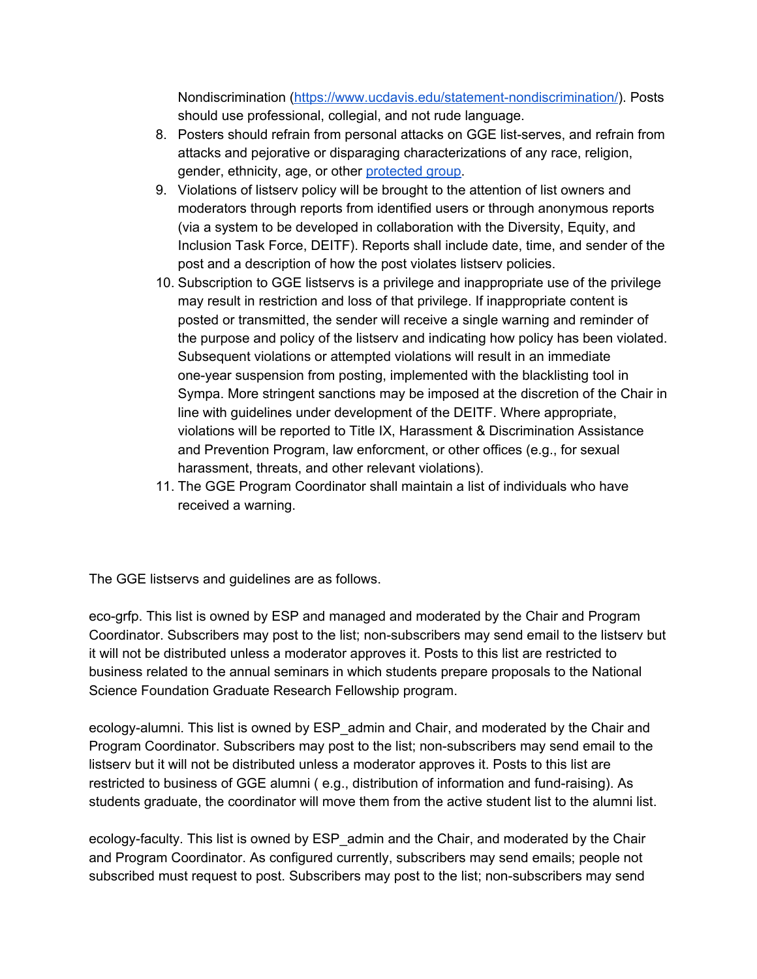Nondiscrimination (https://www.ucdavis.edu/statement-nondiscrimination/). Posts should use professional, collegial, and not rude language.

- 8. Posters should refrain from personal attacks on GGE list-serves, and refrain from attacks and pejorative or disparaging characterizations of any race, religion, gender, ethnicity, age, or other protected group.
- 9. Violations of listserv policy will be brought to the attention of list owners and moderators through reports from identified users or through anonymous reports (via a system to be developed in collaboration with the Diversity, Equity, and Inclusion Task Force, DEITF). Reports shall include date, time, and sender of the post and a description of how the post violates listserv policies.
- 10. Subscription to GGE listservs is a privilege and inappropriate use of the privilege may result in restriction and loss of that privilege. If inappropriate content is posted or transmitted, the sender will receive a single warning and reminder of the purpose and policy of the listserv and indicating how policy has been violated. Subsequent violations or attempted violations will result in an immediate one-year suspension from posting, implemented with the blacklisting tool in Sympa. More stringent sanctions may be imposed at the discretion of the Chair in line with guidelines under development of the DEITF. Where appropriate, violations will be reported to Title IX, Harassment & Discrimination Assistance and Prevention Program, law enforcment, or other offices (e.g., for sexual harassment, threats, and other relevant violations).
- 11. The GGE Program Coordinator shall maintain a list of individuals who have received a warning.

The GGE listservs and guidelines are as follows.

eco-grfp. This list is owned by ESP and managed and moderated by the Chair and Program Coordinator. Subscribers may post to the list; non-subscribers may send email to the listserv but it will not be distributed unless a moderator approves it. Posts to this list are restricted to business related to the annual seminars in which students prepare proposals to the National Science Foundation Graduate Research Fellowship program.

ecology-alumni. This list is owned by ESP\_admin and Chair, and moderated by the Chair and Program Coordinator. Subscribers may post to the list; non-subscribers may send email to the listserv but it will not be distributed unless a moderator approves it. Posts to this list are restricted to business of GGE alumni ( e.g., distribution of information and fund-raising). As students graduate, the coordinator will move them from the active student list to the alumni list.

ecology-faculty. This list is owned by ESP\_admin and the Chair, and moderated by the Chair and Program Coordinator. As configured currently, subscribers may send emails; people not subscribed must request to post. Subscribers may post to the list; non-subscribers may send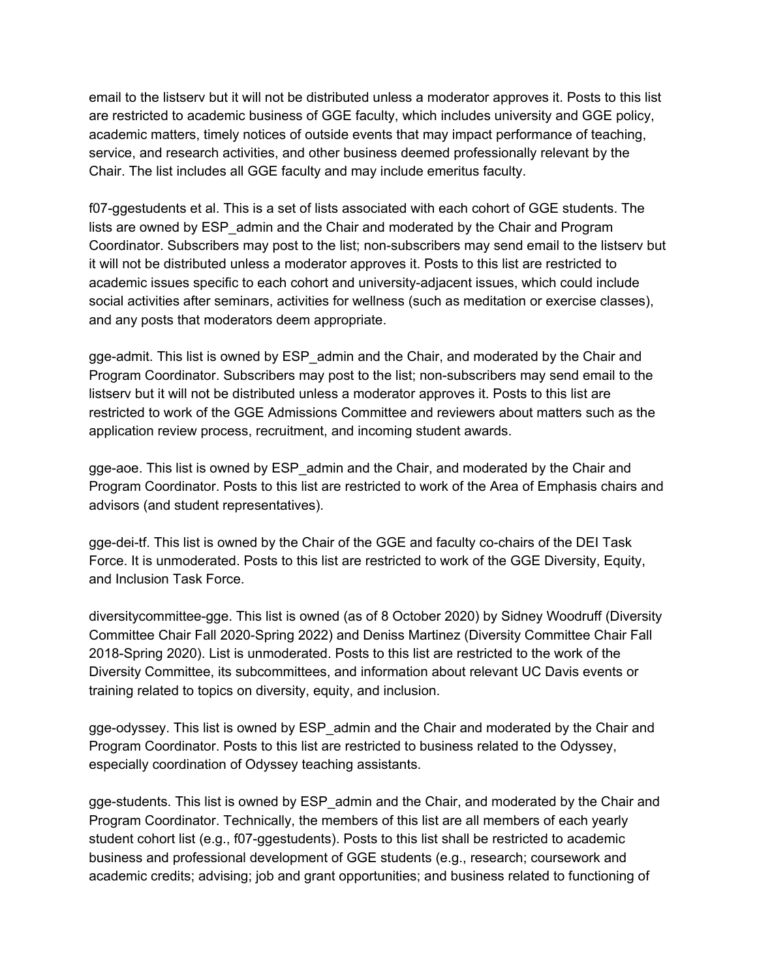email to the listserv but it will not be distributed unless a moderator approves it. Posts to this list are restricted to academic business of GGE faculty, which includes university and GGE policy, academic matters, timely notices of outside events that may impact performance of teaching, service, and research activities, and other business deemed professionally relevant by the Chair. The list includes all GGE faculty and may include emeritus faculty.

f07-ggestudents et al. This is a set of lists associated with each cohort of GGE students. The lists are owned by ESP\_admin and the Chair and moderated by the Chair and Program Coordinator. Subscribers may post to the list; non-subscribers may send email to the listserv but it will not be distributed unless a moderator approves it. Posts to this list are restricted to academic issues specific to each cohort and university-adjacent issues, which could include social activities after seminars, activities for wellness (such as meditation or exercise classes), and any posts that moderators deem appropriate.

gge-admit. This list is owned by ESP\_admin and the Chair, and moderated by the Chair and Program Coordinator. Subscribers may post to the list; non-subscribers may send email to the listserv but it will not be distributed unless a moderator approves it. Posts to this list are restricted to work of the GGE Admissions Committee and reviewers about matters such as the application review process, recruitment, and incoming student awards.

gge-aoe. This list is owned by ESP\_admin and the Chair, and moderated by the Chair and Program Coordinator. Posts to this list are restricted to work of the Area of Emphasis chairs and advisors (and student representatives).

gge-dei-tf. This list is owned by the Chair of the GGE and faculty co-chairs of the DEI Task Force. It is unmoderated. Posts to this list are restricted to work of the GGE Diversity, Equity, and Inclusion Task Force.

diversitycommittee-gge. This list is owned (as of 8 October 2020) by Sidney Woodruff (Diversity Committee Chair Fall 2020-Spring 2022) and Deniss Martinez (Diversity Committee Chair Fall 2018-Spring 2020). List is unmoderated. Posts to this list are restricted to the work of the Diversity Committee, its subcommittees, and information about relevant UC Davis events or training related to topics on diversity, equity, and inclusion.

gge-odyssey. This list is owned by ESP\_admin and the Chair and moderated by the Chair and Program Coordinator. Posts to this list are restricted to business related to the Odyssey, especially coordination of Odyssey teaching assistants.

gge-students. This list is owned by ESP\_admin and the Chair, and moderated by the Chair and Program Coordinator. Technically, the members of this list are all members of each yearly student cohort list (e.g., f07-ggestudents). Posts to this list shall be restricted to academic business and professional development of GGE students (e.g., research; coursework and academic credits; advising; job and grant opportunities; and business related to functioning of